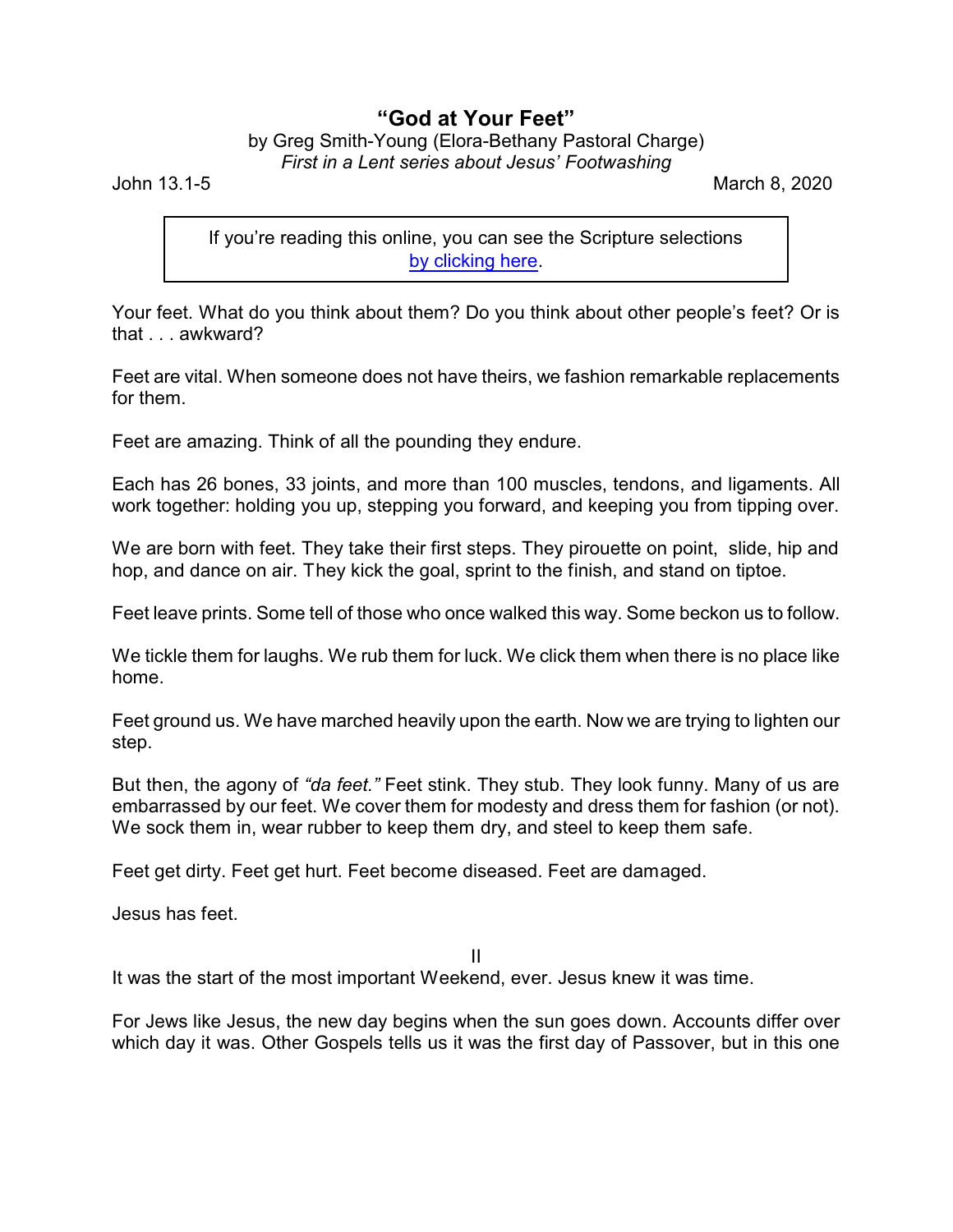## **"God at Your Feet"**

## by Greg Smith-Young (Elora-Bethany Pastoral Charge) *First in a Lent series about Jesus' Footwashing*

John 13.1-5 March 8, 2020

If you're reading this online, you can see the Scripture selections [by clicking here](https://www.biblegateway.com/passage/?search=John+13.1-5&version=CEB).

Your feet. What do you think about them? Do you think about other people's feet? Or is that . . . awkward?

Feet are vital. When someone does not have theirs, we fashion remarkable replacements for them.

Feet are amazing. Think of all the pounding they endure.

Each has 26 bones, 33 joints, and more than 100 muscles, tendons, and ligaments. All work together: holding you up, stepping you forward, and keeping you from tipping over.

We are born with feet. They take their first steps. They pirouette on point, slide, hip and hop, and dance on air. They kick the goal, sprint to the finish, and stand on tiptoe.

Feet leave prints. Some tell of those who once walked this way. Some beckon us to follow.

We tickle them for laughs. We rub them for luck. We click them when there is no place like home.

Feet ground us. We have marched heavily upon the earth. Now we are trying to lighten our step.

But then, the agony of *"da feet."* Feet stink. They stub. They look funny. Many of us are embarrassed by our feet. We cover them for modesty and dress them for fashion (or not). We sock them in, wear rubber to keep them dry, and steel to keep them safe.

Feet get dirty. Feet get hurt. Feet become diseased. Feet are damaged.

Jesus has feet.

II

It was the start of the most important Weekend, ever. Jesus knew it was time.

For Jews like Jesus, the new day begins when the sun goes down. Accounts differ over which day it was. Other Gospels tells us it was the first day of Passover, but in this one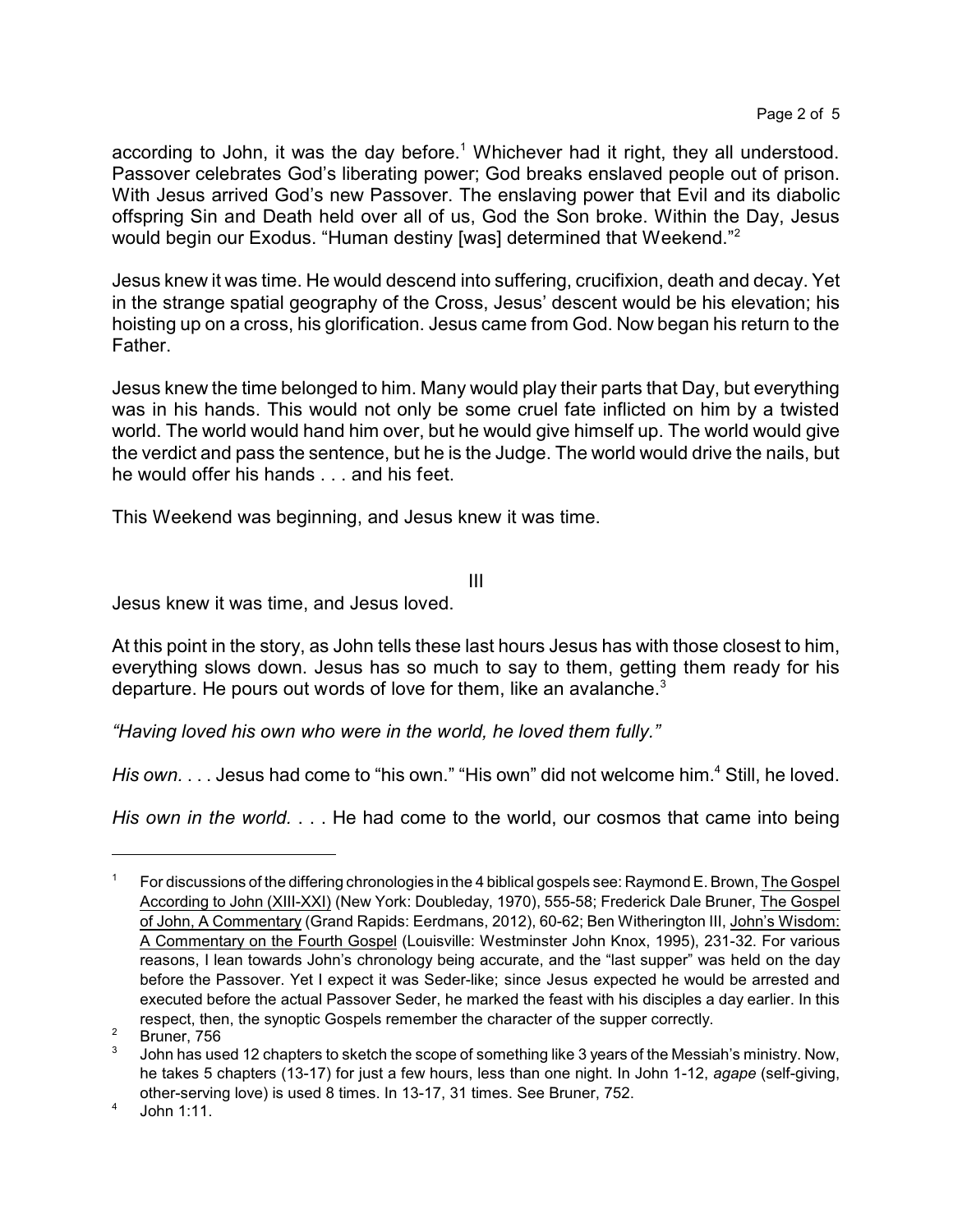according to John, it was the day before.<sup>1</sup> Whichever had it right, they all understood. Passover celebrates God's liberating power; God breaks enslaved people out of prison. With Jesus arrived God's new Passover. The enslaving power that Evil and its diabolic offspring Sin and Death held over all of us, God the Son broke. Within the Day, Jesus would begin our Exodus. "Human destiny [was] determined that Weekend."<sup>2</sup>

Jesus knew it was time. He would descend into suffering, crucifixion, death and decay. Yet in the strange spatial geography of the Cross, Jesus' descent would be his elevation; his hoisting up on a cross, his glorification. Jesus came from God. Now began his return to the Father.

Jesus knew the time belonged to him. Many would play their parts that Day, but everything was in his hands. This would not only be some cruel fate inflicted on him by a twisted world. The world would hand him over, but he would give himself up. The world would give the verdict and pass the sentence, but he is the Judge. The world would drive the nails, but he would offer his hands . . . and his feet.

This Weekend was beginning, and Jesus knew it was time.

III

Jesus knew it was time, and Jesus loved.

At this point in the story, as John tells these last hours Jesus has with those closest to him, everything slows down. Jesus has so much to say to them, getting them ready for his departure. He pours out words of love for them, like an avalanche.<sup>3</sup>

*"Having loved his own who were in the world, he loved them fully."*

His own. . . . Jesus had come to "his own." "His own" did not welcome him.<sup>4</sup> Still, he loved.

*His own in the world.* . . . He had come to the world, our cosmos that came into being

<sup>1</sup> For discussions of the differing chronologies in the 4 biblical gospels see: Raymond E. Brown, The Gospel According to John (XIII-XXI) (New York: Doubleday, 1970), 555-58; Frederick Dale Bruner, The Gospel of John, A Commentary (Grand Rapids: Eerdmans, 2012), 60-62; Ben Witherington III, John's Wisdom: A Commentary on the Fourth Gospel (Louisville: Westminster John Knox, 1995), 231-32. For various reasons, I lean towards John's chronology being accurate, and the "last supper" was held on the day before the Passover. Yet I expect it was Seder-like; since Jesus expected he would be arrested and executed before the actual Passover Seder, he marked the feast with his disciples a day earlier. In this respect, then, the synoptic Gospels remember the character of the supper correctly.

 $2$  Bruner, 756

<sup>3</sup> John has used 12 chapters to sketch the scope of something like 3 years of the Messiah's ministry. Now, he takes 5 chapters (13-17) for just a few hours, less than one night. In John 1-12, *agape* (self-giving, other-serving love) is used 8 times. In 13-17, 31 times. See Bruner, 752.

<sup>4</sup> John 1:11.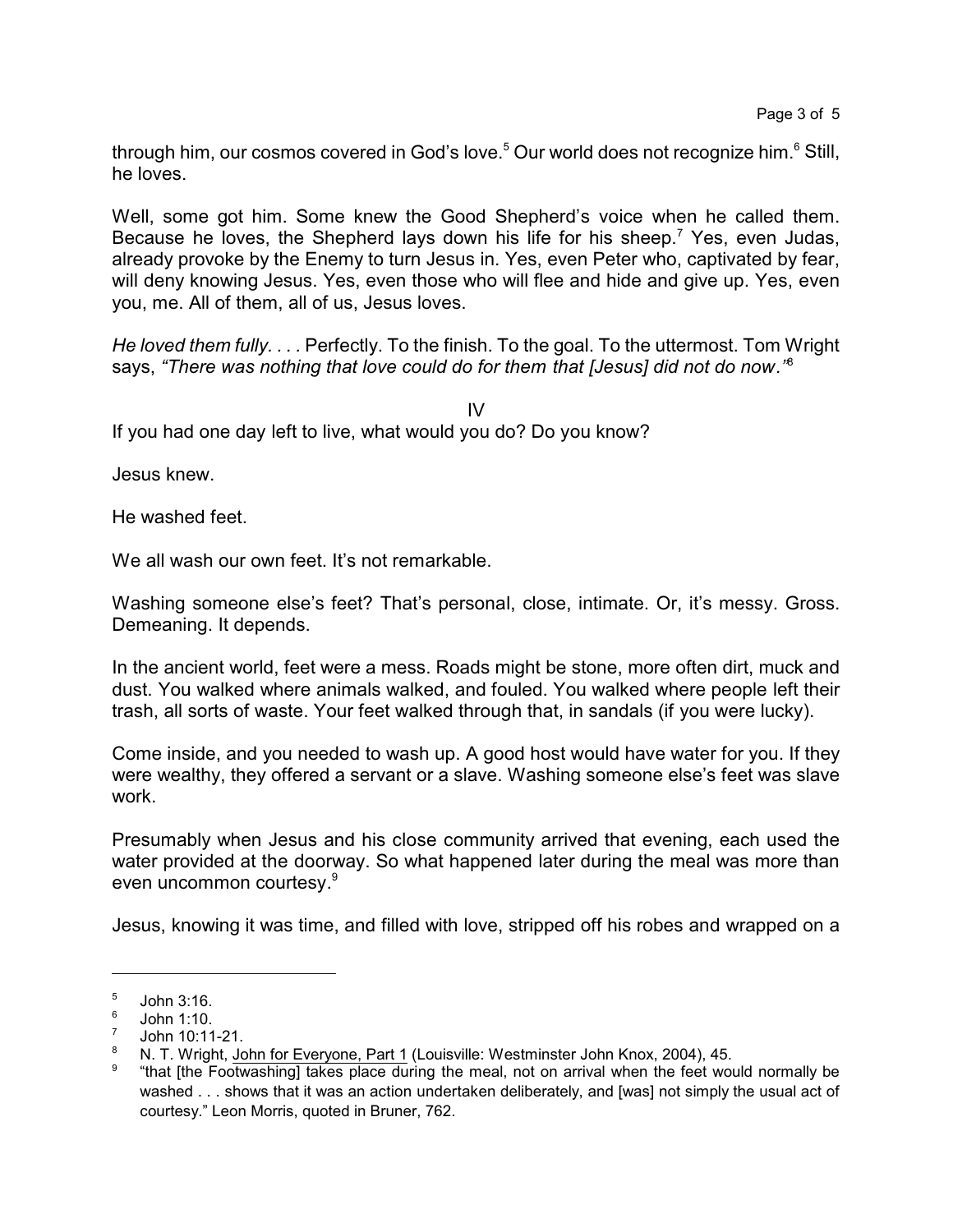through him, our cosmos covered in God's love.<sup>5</sup> Our world does not recognize him.<sup>6</sup> Still, he loves.

Well, some got him. Some knew the Good Shepherd's voice when he called them. Because he loves, the Shepherd lays down his life for his sheep.<sup>7</sup> Yes, even Judas, already provoke by the Enemy to turn Jesus in. Yes, even Peter who, captivated by fear, will deny knowing Jesus. Yes, even those who will flee and hide and give up. Yes, even you, me. All of them, all of us, Jesus loves.

*He loved them fully. . . .* Perfectly. To the finish. To the goal. To the uttermost. Tom Wright says, *"There was nothing that love could do for them that [Jesus] did not do now."*<sup>8</sup>

IV If you had one day left to live, what would you do? Do you know?

Jesus knew.

He washed feet.

We all wash our own feet. It's not remarkable.

Washing someone else's feet? That's personal, close, intimate. Or, it's messy. Gross. Demeaning. It depends.

In the ancient world, feet were a mess. Roads might be stone, more often dirt, muck and dust. You walked where animals walked, and fouled. You walked where people left their trash, all sorts of waste. Your feet walked through that, in sandals (if you were lucky).

Come inside, and you needed to wash up. A good host would have water for you. If they were wealthy, they offered a servant or a slave. Washing someone else's feet was slave work.

Presumably when Jesus and his close community arrived that evening, each used the water provided at the doorway. So what happened later during the meal was more than even uncommon courtesy. 9

Jesus, knowing it was time, and filled with love, stripped off his robes and wrapped on a

<sup>5</sup> John 3:16.

<sup>6</sup> John 1:10.

<sup>7</sup> John 10:11-21.

<sup>8</sup> N. T. Wright, John for Everyone, Part 1 (Louisville: Westminster John Knox, 2004), 45.

<sup>9</sup> "that [the Footwashing] takes place during the meal, not on arrival when the feet would normally be washed . . . shows that it was an action undertaken deliberately, and [was] not simply the usual act of courtesy." Leon Morris, quoted in Bruner, 762.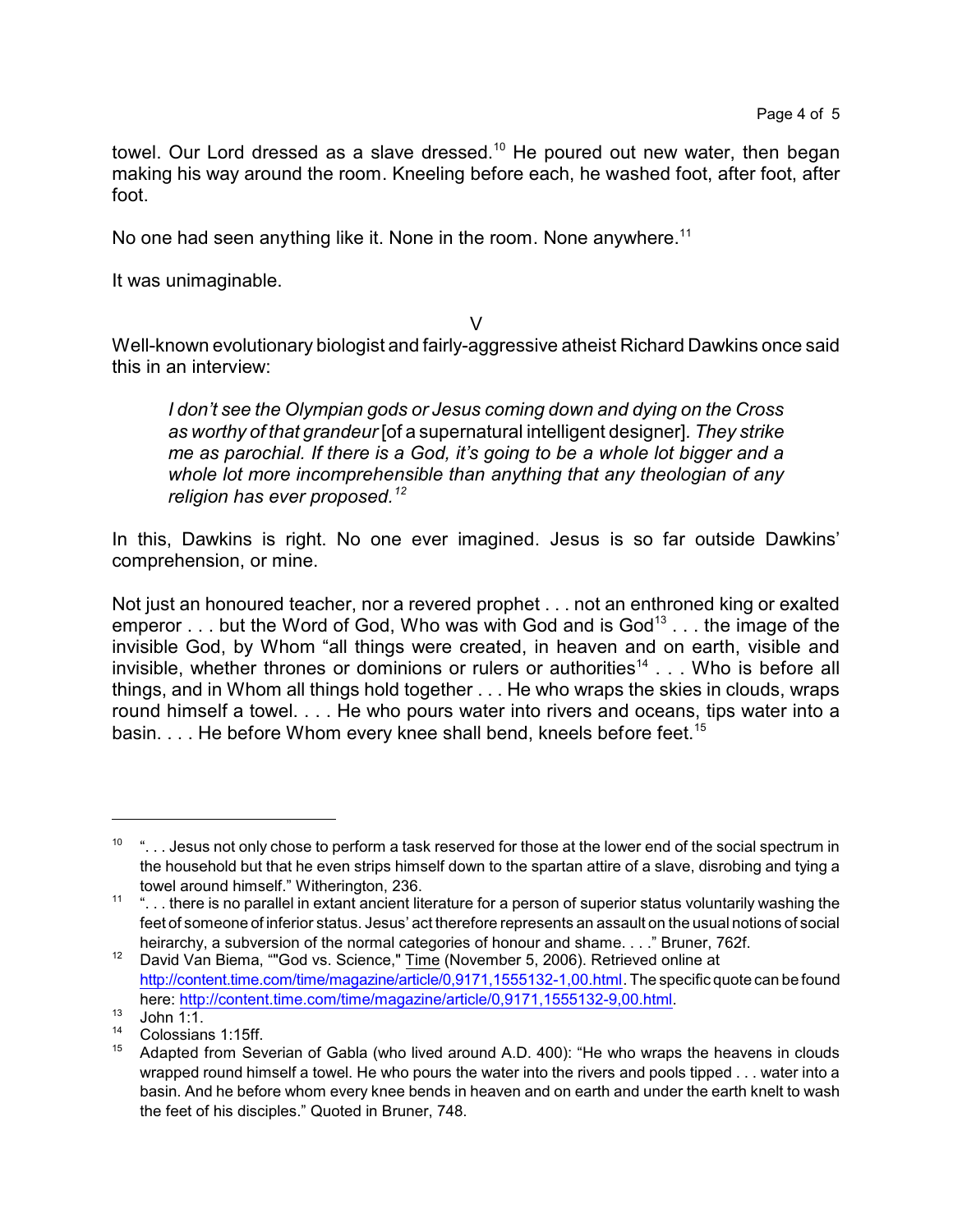towel. Our Lord dressed as a slave dressed.<sup>10</sup> He poured out new water, then began making his way around the room. Kneeling before each, he washed foot, after foot, after foot.

No one had seen anything like it. None in the room. None anywhere.<sup>11</sup>

It was unimaginable.

V

Well-known evolutionary biologist and fairly-aggressive atheist Richard Dawkins once said this in an interview:

*I don't see the Olympian gods or Jesus coming down and dying on the Cross as worthy of that grandeur* [of a supernatural intelligent designer]*. They strike me as parochial. If there is a God, it's going to be a whole lot bigger and a whole lot more incomprehensible than anything that any theologian of any religion has ever proposed.<sup>12</sup>*

In this, Dawkins is right. No one ever imagined. Jesus is so far outside Dawkins' comprehension, or mine.

Not just an honoured teacher, nor a revered prophet . . . not an enthroned king or exalted emperor  $\ldots$  but the Word of God, Who was with God and is God $^{13}$  . . . the image of the invisible God, by Whom "all things were created, in heaven and on earth, visible and invisible, whether thrones or dominions or rulers or authorities<sup>14</sup> . . . Who is before all things, and in Whom all things hold together . . . He who wraps the skies in clouds, wraps round himself a towel. . . . He who pours water into rivers and oceans, tips water into a basin. . . . He before Whom every knee shall bend, kneels before feet.<sup>15</sup>

 $10$  "... Jesus not only chose to perform a task reserved for those at the lower end of the social spectrum in the household but that he even strips himself down to the spartan attire of a slave, disrobing and tying a towel around himself." Witherington, 236.

<sup>11 &</sup>quot;. . . there is no parallel in extant ancient literature for a person of superior status voluntarily washing the feet of someone of inferior status. Jesus' act therefore represents an assault on the usual notions of social heirarchy, a subversion of the normal categories of honour and shame. . . ." Bruner, 762f.

<sup>&</sup>lt;sup>12</sup> David Van Biema, ""God vs. Science,"  $\overline{\text{Time}}$  (November 5, 2006). Retrieved online at <http://content.time.com/time/magazine/article/0,9171,1555132-1,00.html>. The specific quote can be found here:<http://content.time.com/time/magazine/article/0,9171,1555132-9,00.html>.

 $13$  John  $1:1$ .

<sup>&</sup>lt;sup>14</sup> Colossians 1:15ff.

Adapted from Severian of Gabla (who lived around A.D. 400): "He who wraps the heavens in clouds wrapped round himself a towel. He who pours the water into the rivers and pools tipped . . . water into a basin. And he before whom every knee bends in heaven and on earth and under the earth knelt to wash the feet of his disciples." Quoted in Bruner, 748.